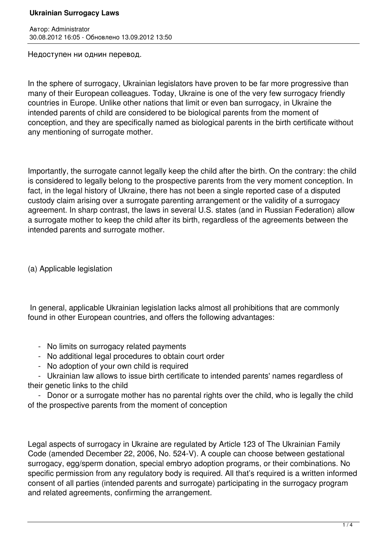## **Ukrainian Surrogacy Laws**

Автор: Administrator 30.08.2012 16:05 - Обновлено 13.09.2012 13:50

Недоступен ни однин перевод.

In the sphere of surrogacy, Ukrainian legislators have proven to be far more progressive than many of their European colleagues. Today, Ukraine is one of the very few surrogacy friendly countries in Europe. Unlike other nations that limit or even ban surrogacy, in Ukraine the intended parents of child are considered to be biological parents from the moment of conception, and they are specifically named as biological parents in the birth certificate without any mentioning of surrogate mother.

Importantly, the surrogate cannot legally keep the child after the birth. On the contrary: the child is considered to legally belong to the prospective parents from the very moment conception. In fact, in the legal history of Ukraine, there has not been a single reported case of a disputed custody claim arising over a surrogate parenting arrangement or the validity of a surrogacy agreement. In sharp contrast, the laws in several U.S. states (and in Russian Federation) allow a surrogate mother to keep the child after its birth, regardless of the agreements between the intended parents and surrogate mother.

(a) Applicable legislation

 In general, applicable Ukrainian legislation lacks almost all prohibitions that are commonly found in other European countries, and offers the following advantages:

- No limits on surrogacy related payments
- No additional legal procedures to obtain court order
- No adoption of your own child is required

 - Ukrainian law allows to issue birth certificate to intended parents' names regardless of their genetic links to the child

 - Donor or a surrogate mother has no parental rights over the child, who is legally the child of the prospective parents from the moment of conception

Legal aspects of surrogacy in Ukraine are regulated by Article 123 of The Ukrainian Family Code (amended December 22, 2006, No. 524-V). A couple can choose between gestational surrogacy, egg/sperm donation, special embryo adoption programs, or their combinations. No specific permission from any requiatory body is required. All that's required is a written informed consent of all parties (intended parents and surrogate) participating in the surrogacy program and related agreements, confirming the arrangement.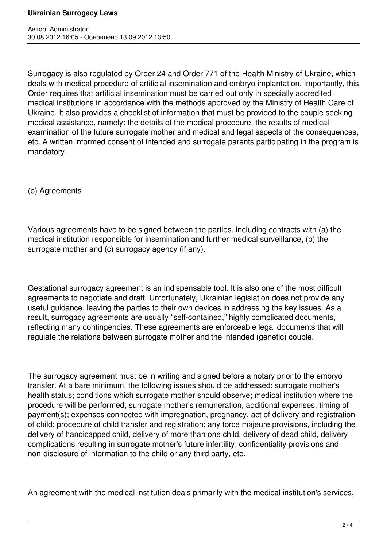Surrogacy is also regulated by Order 24 and Order 771 of the Health Ministry of Ukraine, which deals with medical procedure of artificial insemination and embryo implantation. Importantly, this Order requires that artificial insemination must be carried out only in specially accredited medical institutions in accordance with the methods approved by the Ministry of Health Care of Ukraine. It also provides a checklist of information that must be provided to the couple seeking medical assistance, namely: the details of the medical procedure, the results of medical examination of the future surrogate mother and medical and legal aspects of the consequences, etc. A written informed consent of intended and surrogate parents participating in the program is mandatory.

(b) Agreements

Various agreements have to be signed between the parties, including contracts with (a) the medical institution responsible for insemination and further medical surveillance, (b) the surrogate mother and (c) surrogacy agency (if any).

Gestational surrogacy agreement is an indispensable tool. It is also one of the most difficult agreements to negotiate and draft. Unfortunately, Ukrainian legislation does not provide any useful guidance, leaving the parties to their own devices in addressing the key issues. As a result, surrogacy agreements are usually "self-contained," highly complicated documents, reflecting many contingencies. These agreements are enforceable legal documents that will regulate the relations between surrogate mother and the intended (genetic) couple.

The surrogacy agreement must be in writing and signed before a notary prior to the embryo transfer. At a bare minimum, the following issues should be addressed: surrogate mother's health status; conditions which surrogate mother should observe; medical institution where the procedure will be performed; surrogate mother's remuneration, additional expenses, timing of payment(s); expenses connected with impregnation, pregnancy, act of delivery and registration of child; procedure of child transfer and registration; any force majeure provisions, including the delivery of handicapped child, delivery of more than one child, delivery of dead child, delivery complications resulting in surrogate mother's future infertility; confidentiality provisions and non-disclosure of information to the child or any third party, etc.

An agreement with the medical institution deals primarily with the medical institution's services,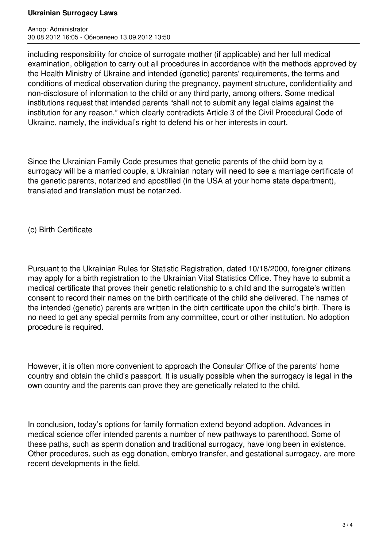## **Ukrainian Surrogacy Laws**

Автор: Administrator 30.08.2012 16:05 - Обновлено 13.09.2012 13:50

including responsibility for choice of surrogate mother (if applicable) and her full medical examination, obligation to carry out all procedures in accordance with the methods approved by the Health Ministry of Ukraine and intended (genetic) parents' requirements, the terms and conditions of medical observation during the pregnancy, payment structure, confidentiality and non-disclosure of information to the child or any third party, among others. Some medical institutions request that intended parents "shall not to submit any legal claims against the institution for any reason," which clearly contradicts Article 3 of the Civil Procedural Code of Ukraine, namely, the individual's right to defend his or her interests in court.

Since the Ukrainian Family Code presumes that genetic parents of the child born by a surrogacy will be a married couple, a Ukrainian notary will need to see a marriage certificate of the genetic parents, notarized and apostilled (in the USA at your home state department), translated and translation must be notarized.

(c) Birth Certificate

Pursuant to the Ukrainian Rules for Statistic Registration, dated 10/18/2000, foreigner citizens may apply for a birth registration to the Ukrainian Vital Statistics Office. They have to submit a medical certificate that proves their genetic relationship to a child and the surrogate's written consent to record their names on the birth certificate of the child she delivered. The names of the intended (genetic) parents are written in the birth certificate upon the child's birth. There is no need to get any special permits from any committee, court or other institution. No adoption procedure is required.

However, it is often more convenient to approach the Consular Office of the parents' home country and obtain the child's passport. It is usually possible when the surrogacy is legal in the own country and the parents can prove they are genetically related to the child.

In conclusion, today's options for family formation extend beyond adoption. Advances in medical science offer intended parents a number of new pathways to parenthood. Some of these paths, such as sperm donation and traditional surrogacy, have long been in existence. Other procedures, such as egg donation, embryo transfer, and gestational surrogacy, are more recent developments in the field.